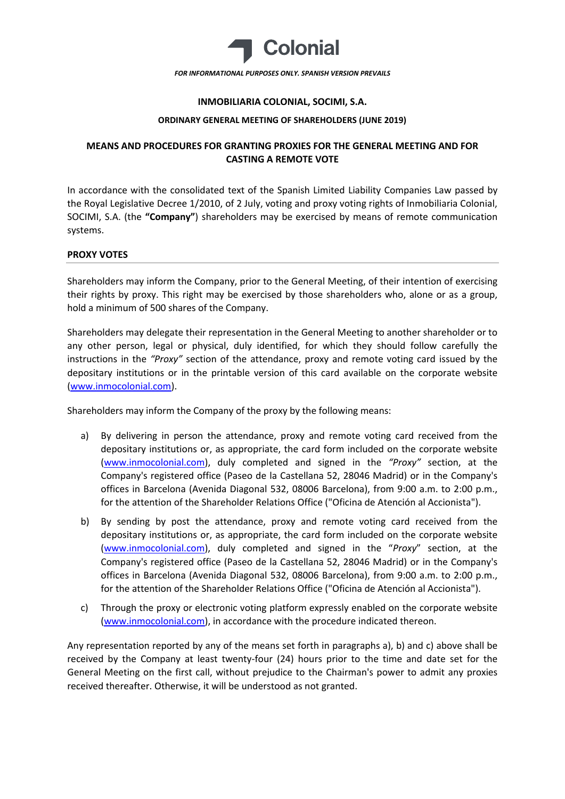

## **INMOBILIARIA COLONIAL, SOCIMI, S.A.**

#### **ORDINARY GENERAL MEETING OF SHAREHOLDERS (JUNE 2019)**

# **MEANS AND PROCEDURES FOR GRANTING PROXIES FOR THE GENERAL MEETING AND FOR CASTING A REMOTE VOTE**

In accordance with the consolidated text of the Spanish Limited Liability Companies Law passed by the Royal Legislative Decree 1/2010, of 2 July, voting and proxy voting rights of Inmobiliaria Colonial, SOCIMI, S.A. (the **"Company"**) shareholders may be exercised by means of remote communication systems.

#### **PROXY VOTES**

Shareholders may inform the Company, prior to the General Meeting, of their intention of exercising their rights by proxy. This right may be exercised by those shareholders who, alone or as a group, hold a minimum of 500 shares of the Company.

Shareholders may delegate their representation in the General Meeting to another shareholder or to any other person, legal or physical, duly identified, for which they should follow carefully the instructions in the *"Proxy"* section of the attendance, proxy and remote voting card issued by the depositary institutions or in the printable version of this card available on the corporate website [\(www.inmocolonial.com](http://www.inmocolonial.com/)).

Shareholders may inform the Company of the proxy by the following means:

- a) By delivering in person the attendance, proxy and remote voting card received from the depositary institutions or, as appropriate, the card form included on the corporate website ([www.inmocolonial.com\)](http://www.inmocolonial.com/), duly completed and signed in the *"Proxy"* section, at the Company's registered office (Paseo de la Castellana 52, 28046 Madrid) or in the Company's offices in Barcelona (Avenida Diagonal 532, 08006 Barcelona), from 9:00 a.m. to 2:00 p.m., for the attention of the Shareholder Relations Office ("Oficina de Atención al Accionista").
- b) By sending by post the attendance, proxy and remote voting card received from the depositary institutions or, as appropriate, the card form included on the corporate website ([www.inmocolonial.com\)](http://www.inmocolonial.com/), duly completed and signed in the "*Proxy*" section, at the Company's registered office (Paseo de la Castellana 52, 28046 Madrid) or in the Company's offices in Barcelona (Avenida Diagonal 532, 08006 Barcelona), from 9:00 a.m. to 2:00 p.m., for the attention of the Shareholder Relations Office ("Oficina de Atención al Accionista").
- c) Through the proxy or electronic voting platform expressly enabled on the corporate website ([www.inmocolonial.com\)](http://www.inmocolonial.com/), in accordance with the procedure indicated thereon.

Any representation reported by any of the means set forth in paragraphs a), b) and c) above shall be received by the Company at least twenty-four (24) hours prior to the time and date set for the General Meeting on the first call, without prejudice to the Chairman's power to admit any proxies received thereafter. Otherwise, it will be understood as not granted.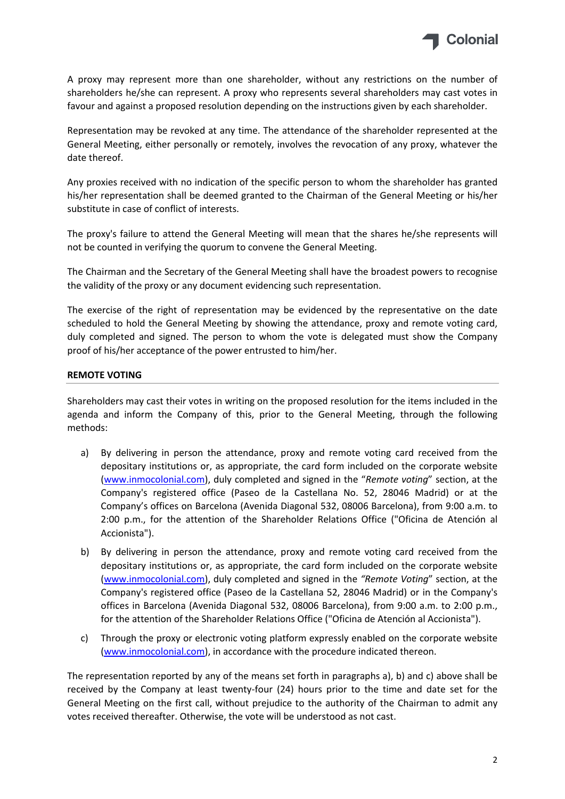

A proxy may represent more than one shareholder, without any restrictions on the number of shareholders he/she can represent. A proxy who represents several shareholders may cast votes in favour and against a proposed resolution depending on the instructions given by each shareholder.

Representation may be revoked at any time. The attendance of the shareholder represented at the General Meeting, either personally or remotely, involves the revocation of any proxy, whatever the date thereof.

Any proxies received with no indication of the specific person to whom the shareholder has granted his/her representation shall be deemed granted to the Chairman of the General Meeting or his/her substitute in case of conflict of interests.

The proxy's failure to attend the General Meeting will mean that the shares he/she represents will not be counted in verifying the quorum to convene the General Meeting.

The Chairman and the Secretary of the General Meeting shall have the broadest powers to recognise the validity of the proxy or any document evidencing such representation.

The exercise of the right of representation may be evidenced by the representative on the date scheduled to hold the General Meeting by showing the attendance, proxy and remote voting card, duly completed and signed. The person to whom the vote is delegated must show the Company proof of his/her acceptance of the power entrusted to him/her.

# **REMOTE VOTING**

Shareholders may cast their votes in writing on the proposed resolution for the items included in the agenda and inform the Company of this, prior to the General Meeting, through the following methods:

- a) By delivering in person the attendance, proxy and remote voting card received from the depositary institutions or, as appropriate, the card form included on the corporate website ([www.inmocolonial.com\)](http://www.inmocolonial.com/), duly completed and signed in the "*Remote voting*" section, at the Company's registered office (Paseo de la Castellana No. 52, 28046 Madrid) or at the Company's offices on Barcelona (Avenida Diagonal 532, 08006 Barcelona), from 9:00 a.m. to 2:00 p.m., for the attention of the Shareholder Relations Office ("Oficina de Atención al Accionista").
- b) By delivering in person the attendance, proxy and remote voting card received from the depositary institutions or, as appropriate, the card form included on the corporate website ([www.inmocolonial.com\)](http://www.inmocolonial.com/), duly completed and signed in the *"Remote Voting*" section, at the Company's registered office (Paseo de la Castellana 52, 28046 Madrid) or in the Company's offices in Barcelona (Avenida Diagonal 532, 08006 Barcelona), from 9:00 a.m. to 2:00 p.m., for the attention of the Shareholder Relations Office ("Oficina de Atención al Accionista").
- c) Through the proxy or electronic voting platform expressly enabled on the corporate website ([www.inmocolonial.com\)](http://www.inmocolonial.com/), in accordance with the procedure indicated thereon.

The representation reported by any of the means set forth in paragraphs a), b) and c) above shall be received by the Company at least twenty-four (24) hours prior to the time and date set for the General Meeting on the first call, without prejudice to the authority of the Chairman to admit any votes received thereafter. Otherwise, the vote will be understood as not cast.